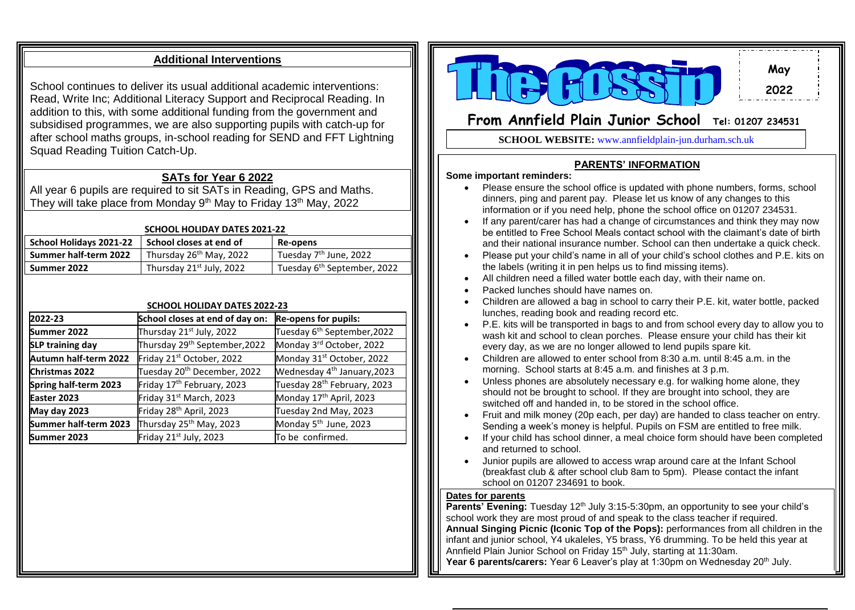## **Additional Interventions**

School continues to deliver its usual additional academic interventions: Read, Write Inc; Additional Literacy Support and Reciprocal Reading. In addition to this, with some additional funding from the government and subsidised programmes, we are also supporting pupils with catch-up for after school maths groups, in-school reading for SEND and FFT Lightning Squad Reading Tuition Catch-Up.

## **SATs for Year 6 2022**

All year 6 pupils are required to sit SATs in Reading, GPS and Maths. They will take place from Monday 9<sup>th</sup> May to Friday 13<sup>th</sup> May, 2022

#### **SCHOOL HOLIDAY DATES 2021-22**

| <b>SCHOOL HOLIDAY DATES 2021-22</b> |                                      |                                         |  |
|-------------------------------------|--------------------------------------|-----------------------------------------|--|
| School Holidays 2021-22             | School closes at end of              | <b>Re-opens</b>                         |  |
| Summer half-term 2022               | Thursday 26 <sup>th</sup> May, 2022  | Tuesday 7 <sup>th</sup> June, 2022      |  |
| Summer 2022                         | Thursday 21 <sup>st</sup> July, 2022 | Tuesday 6 <sup>th</sup> September, 2022 |  |

#### **SCHOOL HOLIDAY DATES 2022-23**

| 2022-23                 | School closes at end of day on:           | <b>Re-opens for pupils:</b>             |
|-------------------------|-------------------------------------------|-----------------------------------------|
| Summer 2022             | Thursday 21 <sup>st</sup> July, 2022      | Tuesday 6 <sup>th</sup> September, 2022 |
| <b>SLP training day</b> | Thursday 29 <sup>th</sup> September, 2022 | Monday 3rd October, 2022                |
| Autumn half-term 2022   | Friday 21 <sup>st</sup> October, 2022     | Monday 31 <sup>st</sup> October, 2022   |
| Christmas 2022          | Tuesday 20 <sup>th</sup> December, 2022   | Wednesday 4 <sup>th</sup> January, 2023 |
| Spring half-term 2023   | Friday 17 <sup>th</sup> February, 2023    | Tuesday 28 <sup>th</sup> February, 2023 |
| Easter 2023             | Friday 31 <sup>st</sup> March, 2023       | Monday 17 <sup>th</sup> April, 2023     |
| May day 2023            | Friday 28 <sup>th</sup> April, 2023       | Tuesday 2nd May, 2023                   |
| Summer half-term 2023   | Thursday 25 <sup>th</sup> May, 2023       | Monday 5 <sup>th</sup> June, 2023       |
| Summer 2023             | Friday 21 <sup>st</sup> July, 2023        | To be confirmed.                        |



**May 2022**

# **From Annfield Plain Junior School Tel: 01207 <sup>234531</sup>**

**SCHOOL WEBSITE:** www.annfieldplain-jun.durham.sch.uk

### **PARENTS' INFORMATION**

#### **Some important reminders:**

- Please ensure the school office is updated with phone numbers, forms, school dinners, ping and parent pay. Please let us know of any changes to this information or if you need help, phone the school office on 01207 234531.
- If any parent/carer has had a change of circumstances and think they may now be entitled to Free School Meals contact school with the claimant's date of birth and their national insurance number. School can then undertake a quick check.
- Please put your child's name in all of your child's school clothes and P.E. kits on the labels (writing it in pen helps us to find missing items).
- All children need a filled water bottle each day, with their name on.
- Packed lunches should have names on.
- Children are allowed a bag in school to carry their P.E. kit, water bottle, packed lunches, reading book and reading record etc.
- P.E. kits will be transported in bags to and from school every day to allow you to wash kit and school to clean porches. Please ensure your child has their kit every day, as we are no longer allowed to lend pupils spare kit.
- Children are allowed to enter school from 8:30 a.m. until 8:45 a.m. in the morning. School starts at 8:45 a.m. and finishes at 3 p.m.
- Unless phones are absolutely necessary e.g. for walking home alone, they should not be brought to school. If they are brought into school, they are switched off and handed in, to be stored in the school office.
- Fruit and milk money (20p each, per day) are handed to class teacher on entry. Sending a week's money is helpful. Pupils on FSM are entitled to free milk.
- If your child has school dinner, a meal choice form should have been completed and returned to school.
- Junior pupils are allowed to access wrap around care at the Infant School (breakfast club & after school club 8am to 5pm). Please contact the infant school on 01207 234691 to book.

#### **Dates for parents**

**Parents' Evening:** Tuesday 12<sup>th</sup> July 3:15-5:30pm, an opportunity to see your child's school work they are most proud of and speak to the class teacher if required. **Annual Singing Picnic (Iconic Top of the Pops):** performances from all children in the infant and junior school, Y4 ukaleles, Y5 brass, Y6 drumming. To be held this year at Annfield Plain Junior School on Friday 15<sup>th</sup> July, starting at 11:30am. **Year 6 parents/carers:** Year 6 Leaver's play at 1:30pm on Wednesday 20<sup>th</sup> July.